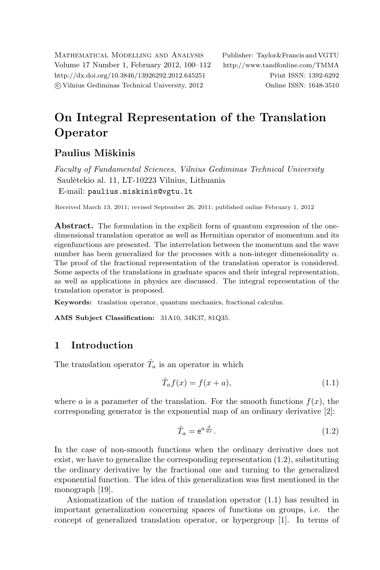Mathematical Modelling and Analysis Publisher: Taylor&Francis and VGTU Volume 17 Number 1, February 2012, 100–112 <http://www.tandfonline.com/TMMA> <http://dx.doi.org/10.3846/13926292.2012.645251> Print ISSN: 1392-6292 c Vilnius Gediminas Technical University, 2012 Online ISSN: 1648-3510

# On Integral Representation of the Translation Operator

## Paulius Miškinis

Faculty of Fundamental Sciences, Vilnius Gediminas Technical University Saulėtekio al. 11, LT-10223 Vilnius, Lithuania E-mail: [paulius.miskinis@vgtu.lt](mailto:paulius.miskinis@vgtu.lt)

Received March 13, 2011; revised September 26, 2011; published online February 1, 2012

Abstract. The formulation in the explicit form of quantum expression of the onedimensional translation operator as well as Hermitian operator of momentum and its eigenfunctions are presented. The interrelation between the momentum and the wave number has been generalized for the processes with a non-integer dimensionality  $\alpha$ . The proof of the fractional representation of the translation operator is considered. Some aspects of the translations in graduate spaces and their integral representation, as well as applications in physics are discussed. The integral representation of the translation operator is proposed.

Keywords: traslation operator, quantum mechanics, fractional calculus.

AMS Subject Classification: 31A10, 34K37, 81Q35.

## 1 Introduction

The translation operator  $\hat{T}_a$  is an operator in which

<span id="page-0-1"></span>
$$
\hat{T}_a f(x) = f(x+a),\tag{1.1}
$$

where a is a parameter of the translation. For the smooth functions  $f(x)$ , the corresponding generator is the exponential map of an ordinary derivative [\[2\]](#page-11-0):

<span id="page-0-0"></span>
$$
\hat{T}_a = e^{a \frac{d}{dx}}.\tag{1.2}
$$

In the case of non-smooth functions when the ordinary derivative does not exist, we have to generalize the corresponding representation [\(1.2\)](#page-0-0), substituting the ordinary derivative by the fractional one and turning to the generalized exponential function. The idea of this generalization was first mentioned in the monograph [\[19\]](#page-12-0).

Axiomatization of the nation of translation operator [\(1.1\)](#page-0-1) has resulted in important generalization concerning spaces of functions on groups, i.e. the concept of generalized translation operator, or hypergroup [\[1\]](#page-11-1). In terms of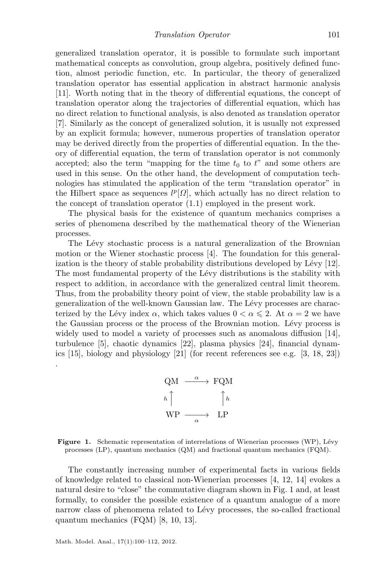generalized translation operator, it is possible to formulate such important mathematical concepts as convolution, group algebra, positively defined function, almost periodic function, etc. In particular, the theory of generalized translation operator has essential application in abstract harmonic analysis [\[11\]](#page-11-2). Worth noting that in the theory of differential equations, the concept of translation operator along the trajectories of differential equation, which has no direct relation to functional analysis, is also denoted as translation operator [\[7\]](#page-11-3). Similarly as the concept of generalized solution, it is usually not expressed by an explicit formula; however, numerous properties of translation operator may be derived directly from the properties of differential equation. In the theory of differential equation, the term of translation operator is not commonly accepted; also the term "mapping for the time  $t_0$  to  $t$ " and some others are used in this sense. On the other hand, the development of computation technologies has stimulated the application of the term "translation operator" in the Hilbert space as sequences  $l^p[\Omega]$ , which actually has no direct relation to the concept of translation operator [\(1.1\)](#page-0-1) employed in the present work.

The physical basis for the existence of quantum mechanics comprises a series of phenomena described by the mathematical theory of the Wienerian processes.

The Lévy stochastic process is a natural generalization of the Brownian motion or the Wiener stochastic process [\[4\]](#page-11-4). The foundation for this generalization is the theory of stable probability distributions developed by Lévy  $[12]$ . The most fundamental property of the Lévy distributions is the stability with respect to addition, in accordance with the generalized central limit theorem. Thus, from the probability theory point of view, the stable probability law is a generalization of the well-known Gaussian law. The Lévy processes are characterized by the Lévy index  $\alpha$ , which takes values  $0 < \alpha \leq 2$ . At  $\alpha = 2$  we have the Gaussian process or the process of the Brownian motion. Lévy process is widely used to model a variety of processes such as anomalous diffusion [\[14\]](#page-12-1), turbulence [\[5\]](#page-11-6), chaotic dynamics [\[22\]](#page-12-2), plasma physics [\[24\]](#page-12-3), financial dynamics [\[15\]](#page-12-4), biology and physiology [\[21\]](#page-12-5) (for recent references see e.g. [\[3,](#page-11-7) [18,](#page-12-6) [23\]](#page-12-7)) .



<span id="page-1-0"></span>Figure 1. Schematic representation of interrelations of Wienerian processes (WP), Lévy processes (LP), quantum mechanics (QM) and fractional quantum mechanics (FQM).

The constantly increasing number of experimental facts in various fields of knowledge related to classical non-Wienerian processes [\[4,](#page-11-4) [12,](#page-11-5) [14\]](#page-12-1) evokes a natural desire to "close" the commutative diagram shown in Fig. [1](#page-1-0) and, at least formally, to consider the possible existence of a quantum analogue of a more narrow class of phenomena related to Lévy processes, the so-called fractional quantum mechanics (FQM) [\[8,](#page-11-8) [10,](#page-11-9) [13\]](#page-12-8).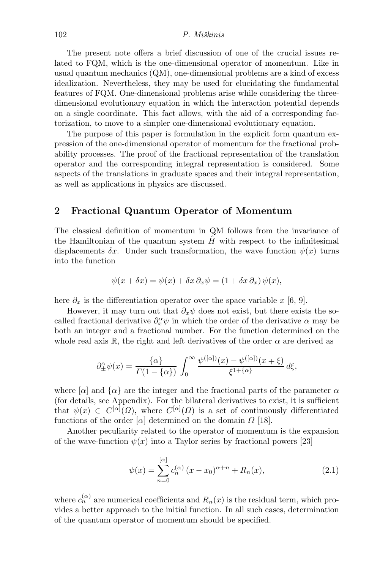The present note offers a brief discussion of one of the crucial issues related to FQM, which is the one-dimensional operator of momentum. Like in usual quantum mechanics (QM), one-dimensional problems are a kind of excess idealization. Nevertheless, they may be used for elucidating the fundamental features of FQM. One-dimensional problems arise while considering the threedimensional evolutionary equation in which the interaction potential depends on a single coordinate. This fact allows, with the aid of a corresponding factorization, to move to a simpler one-dimensional evolutionary equation.

The purpose of this paper is formulation in the explicit form quantum expression of the one-dimensional operator of momentum for the fractional probability processes. The proof of the fractional representation of the translation operator and the corresponding integral representation is considered. Some aspects of the translations in graduate spaces and their integral representation, as well as applications in physics are discussed.

## 2 Fractional Quantum Operator of Momentum

The classical definition of momentum in QM follows from the invariance of the Hamiltonian of the quantum system  $H$  with respect to the infinitesimal displacements  $\delta x$ . Under such transformation, the wave function  $\psi(x)$  turns into the function

$$
\psi(x + \delta x) = \psi(x) + \delta x \partial_x \psi = (1 + \delta x \partial_x) \psi(x),
$$

here  $\partial_x$  is the differentiation operator over the space variable x [\[6,](#page-11-10) [9\]](#page-11-11).

However, it may turn out that  $\partial_x \psi$  does not exist, but there exists the socalled fractional derivative  $\partial_x^{\alpha} \psi$  in which the order of the derivative  $\alpha$  may be both an integer and a fractional number. For the function determined on the whole real axis R, the right and left derivatives of the order  $\alpha$  are derived as

$$
\partial_{\pm}^{\alpha}\psi(x) = \frac{\{\alpha\}}{\Gamma(1-\{\alpha\})} \int_0^{\infty} \frac{\psi^{([\alpha])(x) - \psi^{([\alpha])(x \mp \xi)}}{\xi^{1+\{\alpha\}}} d\xi,
$$

where  $[\alpha]$  and  $\{\alpha\}$  are the integer and the fractional parts of the parameter  $\alpha$ (for details, see Appendix). For the bilateral derivatives to exist, it is sufficient that  $\psi(x) \in C^{[\alpha]}(\Omega)$ , where  $C^{[\alpha]}(\Omega)$  is a set of continuously differentiated functions of the order  $\alpha$  determined on the domain  $\Omega$  [\[18\]](#page-12-6).

Another peculiarity related to the operator of momentum is the expansion of the wave-function  $\psi(x)$  into a Taylor series by fractional powers [\[23\]](#page-12-7)

<span id="page-2-0"></span>
$$
\psi(x) = \sum_{n=0}^{\lbrack \alpha \rbrack} c_n^{(\alpha)} (x - x_0)^{\alpha + n} + R_n(x), \tag{2.1}
$$

where  $c_n^{(\alpha)}$  are numerical coefficients and  $R_n(x)$  is the residual term, which provides a better approach to the initial function. In all such cases, determination of the quantum operator of momentum should be specified.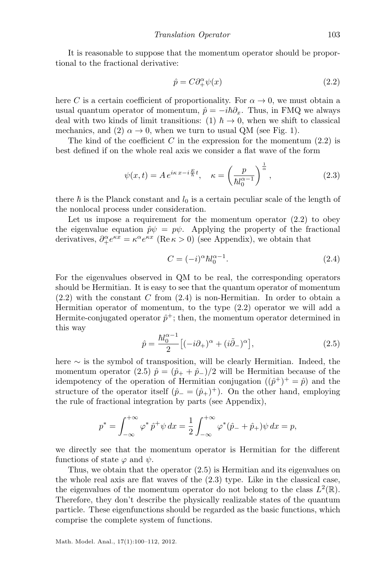It is reasonable to suppose that the momentum operator should be proportional to the fractional derivative:

<span id="page-3-3"></span><span id="page-3-0"></span>
$$
\hat{p} = C\partial_+^{\alpha}\psi(x) \tag{2.2}
$$

here C is a certain coefficient of proportionality. For  $\alpha \to 0$ , we must obtain a usual quantum operator of momentum,  $\hat{p} = -i\hbar\partial_x$ . Thus, in FMQ we always deal with two kinds of limit transitions: (1)  $\hbar \rightarrow 0$ , when we shift to classical mechanics, and (2)  $\alpha \rightarrow 0$ , when we turn to usual QM (see Fig. [1\)](#page-1-0).

The kind of the coefficient  $C$  in the expression for the momentum  $(2.2)$  is best defined if on the whole real axis we consider a flat wave of the form

$$
\psi(x,t) = A e^{i\kappa x - i\frac{E}{\hbar}t}, \quad \kappa = \left(\frac{p}{\hbar l_0^{\alpha - 1}}\right)^{\frac{1}{\alpha}},\tag{2.3}
$$

there  $\hbar$  is the Planck constant and  $l_0$  is a certain peculiar scale of the length of the nonlocal process under consideration.

Let us impose a requirement for the momentum operator [\(2.2\)](#page-3-0) to obey the eigenvalue equation  $\hat{p}\psi = p\psi$ . Applying the property of the fractional derivatives,  $\partial_{+}^{\alpha}e^{\kappa x} = \kappa^{\alpha}e^{\kappa x}$  (Re  $\kappa > 0$ ) (see Appendix), we obtain that

<span id="page-3-1"></span>
$$
C = (-i)^{\alpha} \hbar l_0^{\alpha - 1}.
$$
\n(2.4)

For the eigenvalues observed in QM to be real, the corresponding operators should be Hermitian. It is easy to see that the quantum operator of momentum  $(2.2)$  with the constant C from  $(2.4)$  is non-Hermitian. In order to obtain a Hermitian operator of momentum, to the type [\(2.2\)](#page-3-0) operator we will add a Hermite-conjugated operator  $\hat{p}^{\dagger}$ ; then, the momentum operator determined in this way

$$
\hat{p} = \frac{\hbar l_0^{\alpha - 1}}{2} \left[ (-i\partial_+)^\alpha + (i\tilde{\partial}_-)^\alpha \right],\tag{2.5}
$$

<span id="page-3-2"></span>here ∼ is the symbol of transposition, will be clearly Hermitian. Indeed, the momentum operator [\(2.5\)](#page-3-2)  $\hat{p} = (\hat{p}_+ + \hat{p}_-) / 2$  will be Hermitian because of the idempotency of the operation of Hermitian conjugation  $((\hat{p}^+)^+ = \hat{p})$  and the structure of the operator itself  $(\hat{p}_- = (\hat{p}_+)^+)$ . On the other hand, employing the rule of fractional integration by parts (see Appendix),

$$
p^* = \int_{-\infty}^{+\infty} \varphi^* \hat{p}^+ \psi \, dx = \frac{1}{2} \int_{-\infty}^{+\infty} \varphi^* (\hat{p}_- + \hat{p}_+) \psi \, dx = p,
$$

we directly see that the momentum operator is Hermitian for the different functions of state  $\varphi$  and  $\psi$ .

Thus, we obtain that the operator [\(2.5\)](#page-3-2) is Hermitian and its eigenvalues on the whole real axis are flat waves of the [\(2.3\)](#page-3-3) type. Like in the classical case, the eigenvalues of the momentum operator do not belong to the class  $L^2(\mathbb{R})$ . Therefore, they don't describe the physically realizable states of the quantum particle. These eigenfunctions should be regarded as the basic functions, which comprise the complete system of functions.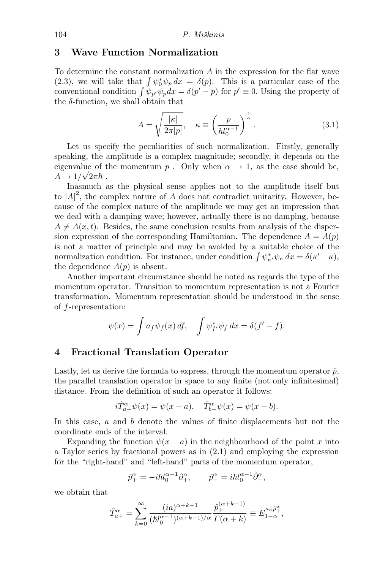## 3 Wave Function Normalization

To determine the constant normalization  $A$  in the expression for the flat wave [\(2.3\)](#page-3-3), we will take that  $\int \psi_0^* \psi_p dx = \delta(p)$ . This is a particular case of the conventional condition  $\int \psi_{p'} \psi_p dx = \delta(p'-p)$  for  $p' \equiv 0$ . Using the property of the  $\delta$ -function, we shall obtain that

$$
A = \sqrt{\frac{|\kappa|}{2\pi|p|}}, \quad \kappa \equiv \left(\frac{p}{\hbar l_0^{\alpha - 1}}\right)^{\frac{1}{\alpha}}.
$$
 (3.1)

Let us specify the peculiarities of such normalization. Firstly, generally speaking, the amplitude is a complex magnitude; secondly, it depends on the eigenvalue of the momentum p. Only when  $\alpha \to 1$ , as the case should be,  $A \to 1/\sqrt{2\pi\hbar}$ .

Inasmuch as the physical sense applies not to the amplitude itself but to  $|A|^2$ , the complex nature of A does not contradict unitarity. However, because of the complex nature of the amplitude we may get an impression that we deal with a damping wave; however, actually there is no damping, because  $A \neq A(x, t)$ . Besides, the same conclusion results from analysis of the dispersion expression of the corresponding Hamiltonian. The dependence  $A = A(p)$ is not a matter of principle and may be avoided by a suitable choice of the normalization condition. For instance, under condition  $\int \psi_{\kappa}^* \psi_{\kappa} dx = \delta(\kappa' - \kappa),$ the dependence  $A(p)$  is absent.

Another important circumstance should be noted as regards the type of the momentum operator. Transition to momentum representation is not a Fourier transformation. Momentum representation should be understood in the sense of f-representation:

$$
\psi(x) = \int a_f \psi_f(x) \, df, \quad \int \psi_{f'}^* \psi_f \, dx = \delta(f' - f).
$$

#### 4 Fractional Translation Operator

Lastly, let us derive the formula to express, through the momentum operator  $\hat{p}$ , the parallel translation operator in space to any finite (not only infinitesimal) distance. From the definition of such an operator it follows:

$$
i\hat{T}_{a+}^{\alpha}\psi(x) = \psi(x-a), \quad \hat{T}_{b-}^{\alpha}\psi(x) = \psi(x+b).
$$

In this case, a and b denote the values of finite displacements but not the coordinate ends of the interval.

Expanding the function  $\psi(x-a)$  in the neighbourhood of the point x into a Taylor series by fractional powers as in [\(2.1\)](#page-2-0) and employing the expression for the "right-hand" and "left-hand" parts of the momentum operator,

$$
\hat{p}^{\alpha}_{+} = -i\hbar l_0^{\alpha - 1} \partial_+^{\alpha}, \qquad \hat{p}^{\alpha}_{-} = i\hbar l_0^{\alpha - 1} \tilde{\partial}_-^{\alpha},
$$

we obtain that

$$
\hat{T}_{a+}^{\alpha} = \sum_{k=0}^{\infty} \frac{(ia)^{\alpha+k-1}}{(h_0^{\alpha-1})^{(\alpha+k-1)/\alpha}} \frac{\hat{p}_+^{(\alpha+k-1)}}{\Gamma(\alpha+k)} \equiv E_{1-\alpha}^{\kappa_a \hat{p}_+^{\alpha}},
$$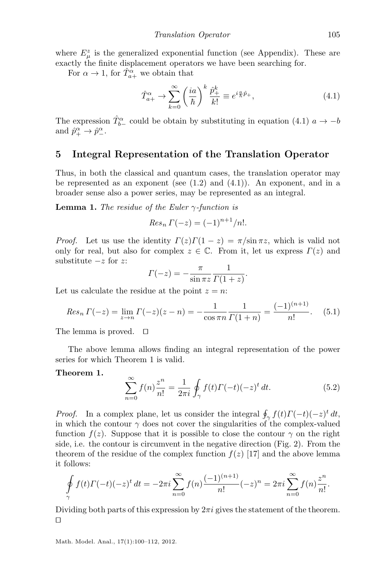where  $E^z_\mu$  is the generalized exponential function (see Appendix). These are exactly the finite displacement operators we have been searching for.

For  $\alpha \to 1$ , for  $\hat{T}_{a+}^{\alpha}$  we obtain that

<span id="page-5-0"></span>
$$
\hat{T}_{a+}^{\alpha} \rightarrow \sum_{k=0}^{\infty} \left(\frac{ia}{\hbar}\right)^k \frac{\hat{p}_+^k}{k!} \equiv e^{i\frac{a}{\hbar}\hat{p}_+},\tag{4.1}
$$

The expression  $\hat{T}_{b-}^{\alpha}$  could be obtain by substituting in equation [\(4.1\)](#page-5-0)  $a \to -b$ and  $\hat{p}_+^{\alpha} \rightarrow \hat{p}_-^{\alpha}$ .

#### 5 Integral Representation of the Translation Operator

Thus, in both the classical and quantum cases, the translation operator may be represented as an exponent (see  $(1.2)$  and  $(4.1)$ ). An exponent, and in a broader sense also a power series, may be represented as an integral.

**Lemma 1.** The residue of the Euler  $\gamma$ -function is

$$
Res_n \Gamma(-z) = (-1)^{n+1}/n!.
$$

*Proof.* Let us use the identity  $\Gamma(z)\Gamma(1-z) = \pi/\sin \pi z$ , which is valid not only for real, but also for complex  $z \in \mathbb{C}$ . From it, let us express  $\Gamma(z)$  and substitute  $-z$  for  $z$ :

$$
\Gamma(-z) = -\frac{\pi}{\sin \pi z} \frac{1}{\Gamma(1+z)}.
$$

Let us calculate the residue at the point  $z = n$ :

$$
Res_n \Gamma(-z) = \lim_{z \to n} \Gamma(-z)(z - n) = -\frac{1}{\cos \pi n} \frac{1}{\Gamma(1 + n)} = \frac{(-1)^{(n+1)}}{n!}.
$$
 (5.1)

The lemma is proved.  $\square$ 

The above lemma allows finding an integral representation of the power series for which Theorem [1](#page-5-1) is valid.

#### <span id="page-5-2"></span>Theorem 1.

<span id="page-5-1"></span>
$$
\sum_{n=0}^{\infty} f(n) \frac{z^n}{n!} = \frac{1}{2\pi i} \oint_{\gamma} f(t) \Gamma(-t) (-z)^t dt.
$$
 (5.2)

*Proof.* In a complex plane, let us consider the integral  $\oint_{\gamma} f(t)\Gamma(-t)(-z)^t dt$ , in which the contour  $\gamma$  does not cover the singularities of the complex-valued function  $f(z)$ . Suppose that it is possible to close the contour  $\gamma$  on the right side, i.e. the contour is circumvent in the negative direction (Fig. [2\)](#page-6-0). From the theorem of the residue of the complex function  $f(z)$  [\[17\]](#page-12-9) and the above lemma it follows:

$$
\oint_{\gamma} f(t)\Gamma(-t)(-z)^{t} dt = -2\pi i \sum_{n=0}^{\infty} f(n) \frac{(-1)^{(n+1)}}{n!} (-z)^{n} = 2\pi i \sum_{n=0}^{\infty} f(n) \frac{z^{n}}{n!}.
$$

Dividing both parts of this expression by  $2\pi i$  gives the statement of the theorem.  $\Box$ 

<span id="page-5-3"></span>Math. Model. Anal., 17(1):100–112, 2012.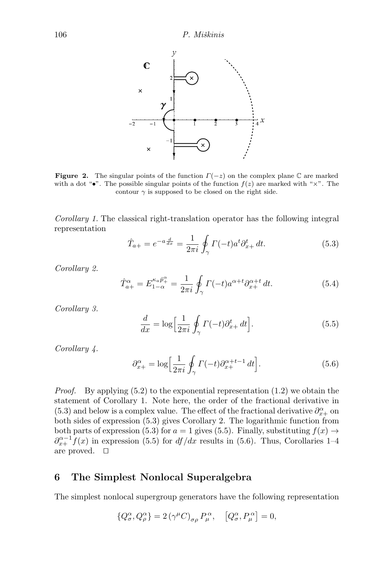

<span id="page-6-0"></span>**Figure 2.** The singular points of the function  $\Gamma(-z)$  on the complex plane C are marked with a dot " $\bullet$ ". The possible singular points of the function  $f(z)$  are marked with " $\times$ ". The contour  $\gamma$  is supposed to be closed on the right side.

Corollary 1. The classical right-translation operator has the following integral representation

<span id="page-6-1"></span>
$$
\hat{T}_{a+} = e^{-a\frac{d}{dx}} = \frac{1}{2\pi i} \oint_{\gamma} \Gamma(-t) a^t \partial_{x+}^t dt.
$$
\n(5.3)

<span id="page-6-2"></span>Corollary 2.

$$
\hat{T}_{a+}^{\alpha} = E_{1-\alpha}^{\kappa_a \hat{p}_+^{\alpha}} = \frac{1}{2\pi i} \oint_{\gamma} \Gamma(-t) a^{\alpha+t} \partial_{x+}^{\alpha+t} dt.
$$
\n(5.4)

<span id="page-6-3"></span>Corollary 3.

$$
\frac{d}{dx} = \log\left[\frac{1}{2\pi i}\oint_{\gamma} \Gamma(-t)\partial_{x+}^t dt\right].
$$
\n(5.5)

<span id="page-6-4"></span>Corollary 4.

$$
\partial_{x+}^{\alpha} = \log \left[ \frac{1}{2\pi i} \oint_{\gamma} \Gamma(-t) \partial_{x+}^{\alpha+t-1} dt \right]. \tag{5.6}
$$

*Proof.* By applying  $(5.2)$  to the exponential representation  $(1.2)$  we obtain the statement of Corollary [1.](#page-5-3) Note here, the order of the fractional derivative in [\(5.3\)](#page-6-1) and below is a complex value. The effect of the fractional derivative  $\partial_{x+}^{\alpha}$  on both sides of expression [\(5.3\)](#page-6-1) gives Corollary [2.](#page-6-2) The logarithmic function from both parts of expression [\(5.3\)](#page-6-1) for  $a = 1$  gives [\(5.5\)](#page-6-3). Finally, substituting  $f(x) \rightarrow$  $\partial_{x+}^{\alpha-1} f(x)$  in expression [\(5.5\)](#page-6-3) for  $df/dx$  results in [\(5.6\)](#page-6-4). Thus, Corollaries [1–](#page-5-3)[4](#page-6-4) are proved.  $\quad \Box$ 

## 6 The Simplest Nonlocal Superalgebra

The simplest nonlocal supergroup generators have the following representation

$$
\{Q^\alpha_\sigma,Q^\alpha_\rho\}=2\,(\gamma^\mu C)_{\sigma\rho}\,P^\,\alpha_\mu,\quad \left[Q^\alpha_\sigma,P^\,\alpha_\mu\right]=0,
$$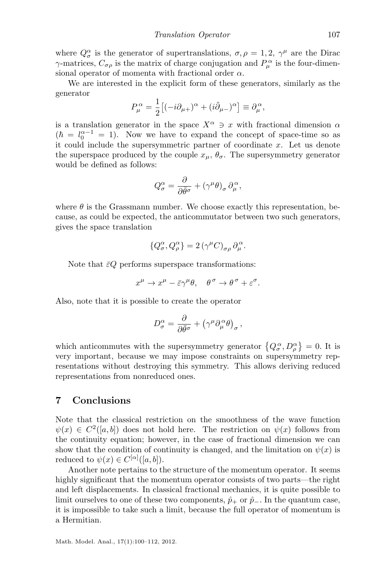where  $Q_{\sigma}^{\alpha}$  is the generator of supertranslations,  $\sigma, \rho = 1, 2, \gamma^{\mu}$  are the Dirac  $\gamma$ -matrices,  $C_{\sigma\rho}$  is the matrix of charge conjugation and  $P_{\mu}^{\alpha}$  is the four-dimensional operator of momenta with fractional order  $\alpha$ .

We are interested in the explicit form of these generators, similarly as the generator

$$
P_{\mu}^{\alpha} = \frac{1}{2} \left[ (-i\partial_{\mu+})^{\alpha} + (i\tilde{\partial}_{\mu-})^{\alpha} \right] \equiv \partial_{\mu}^{\alpha},
$$

is a translation generator in the space  $X^{\alpha} \ni x$  with fractional dimension  $\alpha$  $(\hbar = l_0^{\alpha-1} = 1)$ . Now we have to expand the concept of space-time so as it could include the supersymmetric partner of coordinate  $x$ . Let us denote the superspace produced by the couple  $x_{\mu}$ ,  $\theta_{\sigma}$ . The supersymmetry generator would be defined as follows:

$$
Q_{\sigma}^{\alpha} = \frac{\partial}{\partial \bar{\theta}^{\sigma}} + (\gamma^{\mu} \theta)_{\sigma} \partial_{\mu}^{\alpha},
$$

where  $\theta$  is the Grassmann number. We choose exactly this representation, because, as could be expected, the anticommutator between two such generators, gives the space translation

$$
\{Q^\alpha_\sigma,Q^\alpha_\rho\}=2\,(\gamma^\mu C)_{\sigma\rho}\,\partial^\alpha_\mu.
$$

Note that  $\bar{\varepsilon}Q$  performs superspace transformations:

$$
x^{\mu} \to x^{\mu} - \bar{\varepsilon} \gamma^{\mu} \theta, \quad \theta^{\sigma} \to \theta^{\sigma} + \varepsilon^{\sigma}.
$$

Also, note that it is possible to create the operator

$$
D^{\alpha}_{\sigma} = \frac{\partial}{\partial \bar{\theta}^{\sigma}} + (\gamma^{\mu} \partial_{\mu}^{\alpha} \theta)_{\sigma} ,
$$

which anticommutes with the supersymmetry generator  $\{Q_{\sigma}^{\alpha}, D_{\rho}^{\alpha}\}=0$ . It is very important, because we may impose constraints on supersymmetry representations without destroying this symmetry. This allows deriving reduced representations from nonreduced ones.

## 7 Conclusions

Note that the classical restriction on the smoothness of the wave function  $\psi(x) \in C^2([a, b])$  does not hold here. The restriction on  $\psi(x)$  follows from the continuity equation; however, in the case of fractional dimension we can show that the condition of continuity is changed, and the limitation on  $\psi(x)$  is reduced to  $\psi(x) \in C^{[\alpha]}([a, b]).$ 

Another note pertains to the structure of the momentum operator. It seems highly significant that the momentum operator consists of two parts—the right and left displacements. In classical fractional mechanics, it is quite possible to limit ourselves to one of these two components,  $\hat{p}_+$  or  $\hat{p}_-$ . In the quantum case, it is impossible to take such a limit, because the full operator of momentum is a Hermitian.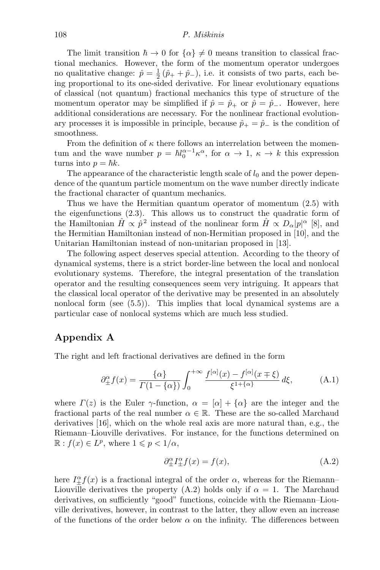The limit transition  $\hbar \to 0$  for  $\{\alpha\} \neq 0$  means transition to classical fractional mechanics. However, the form of the momentum operator undergoes no qualitative change:  $\hat{p} = \frac{1}{2}(\hat{p}_+ + \hat{p}_-),$  i.e. it consists of two parts, each being proportional to its one-sided derivative. For linear evolutionary equations of classical (not quantum) fractional mechanics this type of structure of the momentum operator may be simplified if  $\hat{p} = \hat{p}_+$  or  $\hat{p} = \hat{p}_-$ . However, here additional considerations are necessary. For the nonlinear fractional evolutionary processes it is impossible in principle, because  $\hat{p}_+ = \hat{p}_-$  is the condition of smoothness.

From the definition of  $\kappa$  there follows an interrelation between the momentum and the wave number  $p = \hbar l_0^{\alpha-1} \kappa^{\alpha}$ , for  $\alpha \to 1$ ,  $\kappa \to k$  this expression turns into  $p = \hbar k$ .

The appearance of the characteristic length scale of  $l_0$  and the power dependence of the quantum particle momentum on the wave number directly indicate the fractional character of quantum mechanics.

Thus we have the Hermitian quantum operator of momentum [\(2.5\)](#page-3-2) with the eigenfunctions [\(2.3\)](#page-3-3). This allows us to construct the quadratic form of the Hamiltonian  $\hat{H} \propto \hat{p}^2$  instead of the nonlinear form  $\hat{H} \propto D_\alpha |p|^\alpha$  [\[8\]](#page-11-8), and the Hermitian Hamiltonian instead of non-Hermitian proposed in [\[10\]](#page-11-9), and the Unitarian Hamiltonian instead of non-unitarian proposed in [\[13\]](#page-12-8).

The following aspect deserves special attention. According to the theory of dynamical systems, there is a strict border-line between the local and nonlocal evolutionary systems. Therefore, the integral presentation of the translation operator and the resulting consequences seem very intriguing. It appears that the classical local operator of the derivative may be presented in an absolutely nonlocal form (see [\(5.5\)](#page-6-3)). This implies that local dynamical systems are a particular case of nonlocal systems which are much less studied.

## Appendix A

The right and left fractional derivatives are defined in the form

$$
\partial_{\pm}^{\alpha} f(x) = \frac{\{\alpha\}}{\Gamma(1 - \{\alpha\})} \int_0^{+\infty} \frac{f^{[\alpha]}(x) - f^{[\alpha]}(x \mp \xi)}{\xi^{1 + \{\alpha\}}} d\xi, \tag{A.1}
$$

where  $\Gamma(z)$  is the Euler  $\gamma$ -function,  $\alpha = [\alpha] + {\alpha}$  are the integer and the fractional parts of the real number  $\alpha \in \mathbb{R}$ . These are the so-called Marchaud derivatives [\[16\]](#page-12-10), which on the whole real axis are more natural than, e.g., the Riemann–Liouville derivatives. For instance, for the functions determined on  $\mathbb{R}: f(x) \in L^p$ , where  $1 \leqslant p < 1/\alpha$ ,

<span id="page-8-1"></span><span id="page-8-0"></span>
$$
\partial_{\pm}^{\alpha}I_{\pm}^{\alpha}f(x) = f(x),\tag{A.2}
$$

here  $I_{\pm}^{\alpha} f(x)$  is a fractional integral of the order  $\alpha$ , whereas for the Riemann– Liouville derivatives the property [\(A.2\)](#page-8-0) holds only if  $\alpha = 1$ . The Marchaud derivatives, on sufficiently "good" functions, coincide with the Riemann–Liouville derivatives, however, in contrast to the latter, they allow even an increase of the functions of the order below  $\alpha$  on the infinity. The differences between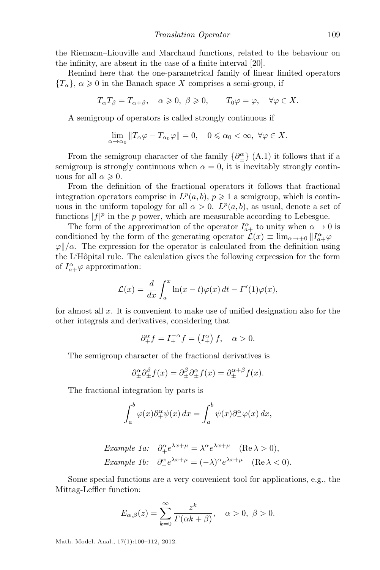the Riemann–Liouville and Marchaud functions, related to the behaviour on the infinity, are absent in the case of a finite interval [\[20\]](#page-12-11).

Remind here that the one-parametrical family of linear limited operators  ${T_\alpha}$ ,  $\alpha \geq 0$  in the Banach space X comprises a semi-group, if

$$
T_{\alpha}T_{\beta}=T_{\alpha+\beta}, \quad \alpha \geqslant 0, \ \beta \geqslant 0, \qquad T_0\varphi=\varphi, \quad \forall \varphi \in X.
$$

A semigroup of operators is called strongly continuous if

$$
\lim_{\alpha \to \alpha_0} ||T_\alpha \varphi - T_{\alpha_0} \varphi|| = 0, \quad 0 \le \alpha_0 < \infty, \ \forall \varphi \in X.
$$

From the semigroup character of the family  $\{\partial_{\pm}^{\alpha}\}$  [\(A.1\)](#page-8-1) it follows that if a semigroup is strongly continuous when  $\alpha = 0$ , it is inevitably strongly continuous for all  $\alpha \geqslant 0$ .

From the definition of the fractional operators it follows that fractional integration operators comprise in  $L^p(a, b)$ ,  $p \geq 1$  a semigroup, which is continuous in the uniform topology for all  $\alpha > 0$ .  $L^p(a, b)$ , as usual, denote a set of functions  $|f|^p$  in the p power, which are measurable according to Lebesgue.

The form of the approximation of the operator  $I_{a+}^{\alpha}$  to unity when  $\alpha \to 0$  is conditioned by the form of the generating operator  $\mathcal{L}(x) \equiv \lim_{\alpha \to +0} ||I^{\alpha}_{a+} \varphi \varphi$ / $\alpha$ . The expression for the operator is calculated from the definition using the L'Hôpital rule. The calculation gives the following expression for the form of  $I_{a+}^{\alpha} \varphi$  approximation:

$$
\mathcal{L}(x) = \frac{d}{dx} \int_a^x \ln(x - t) \varphi(x) dt - \Gamma'(1) \varphi(x),
$$

for almost all  $x$ . It is convenient to make use of unified designation also for the other integrals and derivatives, considering that

$$
\partial_+^{\alpha} f = I_+^{-\alpha} f = (I_+^{\alpha}) f, \quad \alpha > 0.
$$

The semigroup character of the fractional derivatives is

$$
\partial_{\pm}^{\alpha} \partial_{\pm}^{\beta} f(x) = \partial_{\pm}^{\beta} \partial_{\pm}^{\alpha} f(x) = \partial_{\pm}^{\alpha + \beta} f(x).
$$

The fractional integration by parts is

$$
\int_a^b \varphi(x) \partial_+^{\alpha} \psi(x) \, dx = \int_a^b \psi(x) \partial_-^{\alpha} \varphi(x) \, dx,
$$

Example 1a: 
$$
\partial_{+}^{\alpha} e^{\lambda x + \mu} = \lambda^{\alpha} e^{\lambda x + \mu}
$$
 (Re  $\lambda > 0$ ),  
Example 1b:  $\partial_{-}^{\alpha} e^{\lambda x + \mu} = (-\lambda)^{\alpha} e^{\lambda x + \mu}$  (Re  $\lambda < 0$ ).

Some special functions are a very convenient tool for applications, e.g., the Mittag-Leffler function:

$$
E_{\alpha,\beta}(z) = \sum_{k=0}^{\infty} \frac{z^k}{\Gamma(\alpha k + \beta)}, \quad \alpha > 0, \ \beta > 0.
$$

Math. Model. Anal., 17(1):100–112, 2012.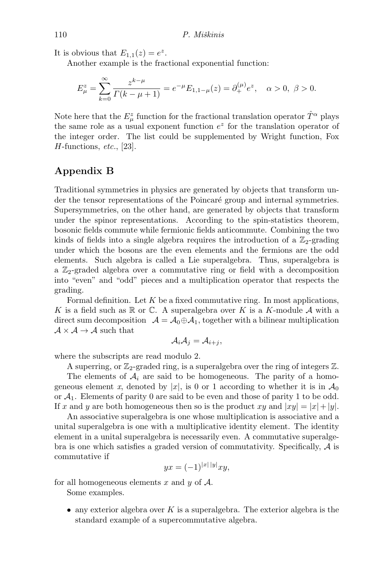It is obvious that  $E_{1,1}(z) = e^z$ .

Another example is the fractional exponential function:

$$
E_{\mu}^{z} = \sum_{k=0}^{\infty} \frac{z^{k-\mu}}{\Gamma(k-\mu+1)} = e^{-\mu} E_{1,1-\mu}(z) = \partial_{+}^{(\mu)} e^{z}, \quad \alpha > 0, \ \beta > 0.
$$

Note here that the  $E^z_\mu$  function for the fractional translation operator  $\hat{T}^\alpha$  plays the same role as a usual exponent function  $e^z$  for the translation operator of the integer order. The list could be supplemented by Wright function, Fox  $H$ -functions, *etc.*, [\[23\]](#page-12-7).

### Appendix B

Traditional symmetries in physics are generated by objects that transform under the tensor representations of the Poincaré group and internal symmetries. Supersymmetries, on the other hand, are generated by objects that transform under the spinor representations. According to the spin-statistics theorem, bosonic fields commute while fermionic fields anticommute. Combining the two kinds of fields into a single algebra requires the introduction of a  $\mathbb{Z}_2$ -grading under which the bosons are the even elements and the fermions are the odd elements. Such algebra is called a Lie superalgebra. Thus, superalgebra is a  $\mathbb{Z}_2$ -graded algebra over a commutative ring or field with a decomposition into "even" and "odd" pieces and a multiplication operator that respects the grading.

Formal definition. Let  $K$  be a fixed commutative ring. In most applications, K is a field such as  $\mathbb R$  or  $\mathbb C$ . A superalgebra over K is a K-module A with a direct sum decomposition  $\mathcal{A} = \mathcal{A}_0 \oplus \mathcal{A}_1$ , together with a bilinear multiplication  $\mathcal{A} \times \mathcal{A} \rightarrow \mathcal{A}$  such that

$$
\mathcal{A}_i \mathcal{A}_j = \mathcal{A}_{i+j},
$$

where the subscripts are read modulo 2.

A superring, or  $\mathbb{Z}_2$ -graded ring, is a superalgebra over the ring of integers  $\mathbb{Z}$ . The elements of  $A_i$  are said to be homogeneous. The parity of a homogeneous element x, denoted by |x|, is 0 or 1 according to whether it is in  $\mathcal{A}_0$ or  $\mathcal{A}_1$ . Elements of parity 0 are said to be even and those of parity 1 to be odd. If x and y are both homogeneous then so is the product xy and  $|xy| = |x| + |y|$ .

An associative superalgebra is one whose multiplication is associative and a unital superalgebra is one with a multiplicative identity element. The identity element in a unital superalgebra is necessarily even. A commutative superalgebra is one which satisfies a graded version of commutativity. Specifically,  $A$  is commutative if

$$
yx = (-1)^{|x| |y|} xy,
$$

for all homogeneous elements x and y of  $A$ .

Some examples.

• any exterior algebra over K is a superalgebra. The exterior algebra is the standard example of a supercommutative algebra.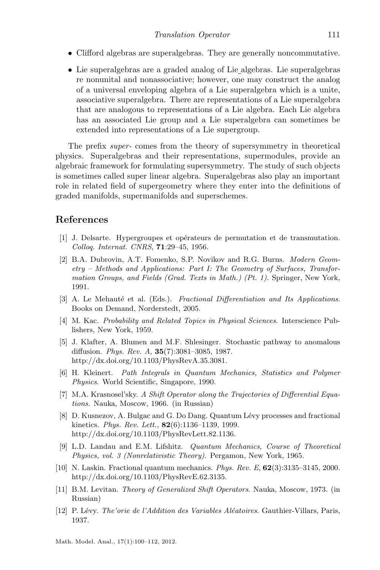- Clifford algebras are superalgebras. They are generally noncommutative.
- Lie superalgebras are a graded analog of Lie algebras. Lie superalgebras re nonunital and nonassociative; however, one may construct the analog of a universal enveloping algebra of a Lie superalgebra which is a unite, associative superalgebra. There are representations of a Lie superalgebra that are analogous to representations of a Lie algebra. Each Lie algebra has an associated Lie group and a Lie superalgebra can sometimes be extended into representations of a Lie supergroup.

The prefix super- comes from the theory of supersymmetry in theoretical physics. Superalgebras and their representations, supermodules, provide an algebraic framework for formulating supersymmetry. The study of such objects is sometimes called super linear algebra. Superalgebras also play an important role in related field of supergeometry where they enter into the definitions of graded manifolds, supermanifolds and superschemes.

#### References

- <span id="page-11-1"></span>[1] J. Delsarte. Hypergroupes et op´erateurs de permutation et de transmutation. Colloq. Internat. CNRS, 71:29–45, 1956.
- <span id="page-11-0"></span>[2] B.A. Dubrovin, A.T. Fomenko, S.P. Novikov and R.G. Burns. Modern Geometry – Methods and Applications: Part I: The Geometry of Surfaces, Transformation Groups, and Fields (Grad. Texts in Math.) (Pt. 1). Springer, New York, 1991.
- <span id="page-11-7"></span>[3] A. Le Mehauté et al. (Eds.). Fractional Differentiation and Its Applications. Books on Demand, Norderstedt, 2005.
- <span id="page-11-4"></span>[4] M. Kac. Probability and Related Topics in Physical Sciences. Interscience Publishers, New York, 1959.
- <span id="page-11-6"></span>[5] J. Klafter, A. Blumen and M.F. Shlesinger. Stochastic pathway to anomalous diffusion. Phys. Rev. A, 35(7):3081–3085, 1987. [http://dx.doi.org/10.1103/PhysRevA.35.3081.](http://dx.doi.org/10.1103/PhysRevA.35.3081)
- <span id="page-11-10"></span>[6] H. Kleinert. Path Integrals in Quantum Mechanics, Statistics and Polymer Physics. World Scientific, Singapore, 1990.
- <span id="page-11-3"></span>[7] M.A. Krasnosel'sky. A Shift Operator along the Trajectories of Differential Equations. Nauka, Moscow, 1966. (in Russian)
- <span id="page-11-8"></span>[8] D. Kusnezov, A. Bulgac and G. Do Dang. Quantum Lévy processes and fractional kinetics. Phys. Rev. Lett., 82(6):1136–1139, 1999. [http://dx.doi.org/10.1103/PhysRevLett.82.1136.](http://dx.doi.org/10.1103/PhysRevLett.82.1136)
- <span id="page-11-11"></span>[9] L.D. Landau and E.M. Lifshitz. Quantum Mechanics, Course of Theoretical Physics, vol. 3 (Nonrelativistic Theory). Pergamon, New York, 1965.
- <span id="page-11-9"></span>[10] N. Laskin. Fractional quantum mechanics. Phys. Rev. E, 62(3):3135–3145, 2000. [http://dx.doi.org/10.1103/PhysRevE.62.3135.](http://dx.doi.org/10.1103/PhysRevE.62.3135)
- <span id="page-11-2"></span>[11] B.M. Levitan. Theory of Generalized Shift Operators. Nauka, Moscow, 1973. (in Russian)
- <span id="page-11-5"></span>[12] P. Lévy. The'orie de l'Addition des Variables Aléatoires. Gauthier-Villars, Paris, 1937.